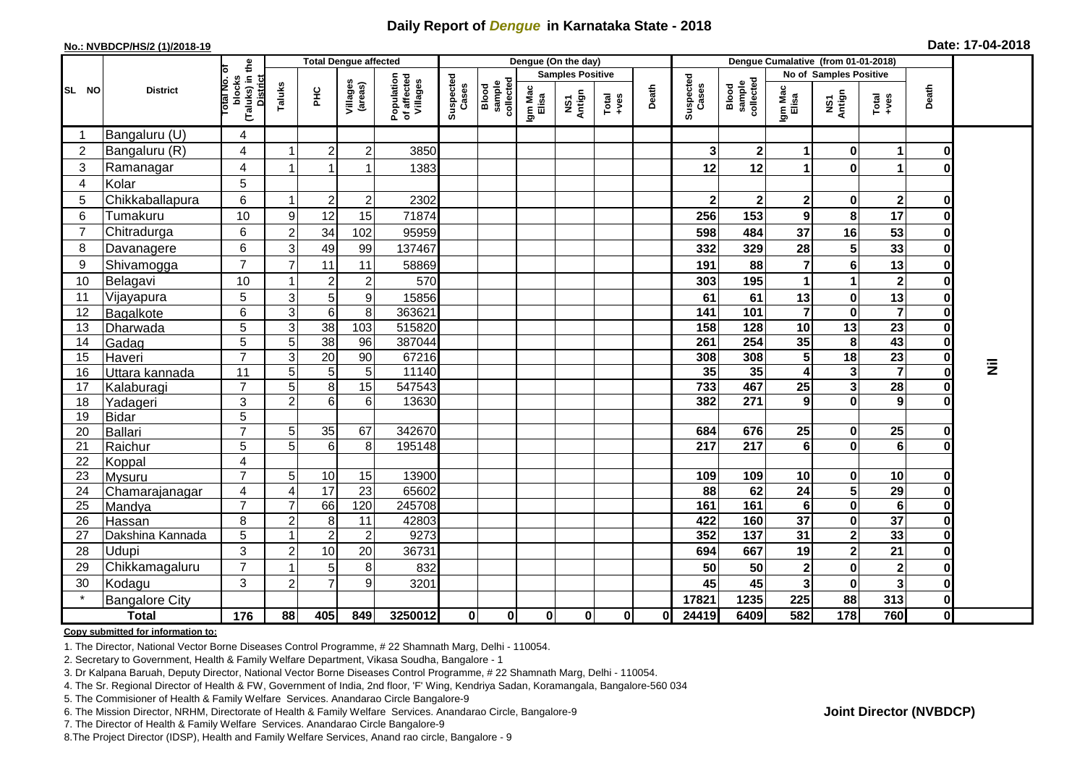## **Daily Report of** *Dengue* **in Karnataka State - 2018**

#### **No.: NVBDCP/HS/2 (1)/2018-19**

|  |  | Date: 17-04-2018 |
|--|--|------------------|
|--|--|------------------|

|                |                       |                                                              | <b>Total Dengue affected</b> |                 |                     |                                       |                    |                              |                  | Dengue (On the day)     |                                                              |          | Dengue Cumalative (from 01-01-2018) |                              |                         |                        |                  |                         |   |
|----------------|-----------------------|--------------------------------------------------------------|------------------------------|-----------------|---------------------|---------------------------------------|--------------------|------------------------------|------------------|-------------------------|--------------------------------------------------------------|----------|-------------------------------------|------------------------------|-------------------------|------------------------|------------------|-------------------------|---|
|                | <b>District</b>       |                                                              |                              |                 |                     |                                       |                    |                              |                  | <b>Samples Positive</b> |                                                              |          |                                     |                              |                         | No of Samples Positive |                  |                         |   |
| SL NO          |                       | (Taluks) in the<br>Total No. of<br>blocks<br><b>District</b> | Taluks                       | <b>PHC</b>      | Villages<br>(areas) | Population<br>of affected<br>Villages | Suspected<br>Cases | collected<br>sample<br>Blood | Igm Mac<br>Elisa | Antign<br>VS7           | $\begin{array}{c}\n\text{Total} \\ \text{+ves}\n\end{array}$ | Death    | Suspected<br>Cases                  | Blood<br>sample<br>collected | Igm Mac<br>Elisa        | NS1<br>Antign          | Total<br>+ves    | Death                   |   |
| -1             | Bangaluru (U)         | 4                                                            |                              |                 |                     |                                       |                    |                              |                  |                         |                                                              |          |                                     |                              |                         |                        |                  |                         |   |
| $\overline{2}$ | Bangaluru (R)         | 4                                                            | -1                           | $\overline{2}$  | $\boldsymbol{2}$    | 3850                                  |                    |                              |                  |                         |                                                              |          | 3                                   | $\mathbf{2}$                 | $\mathbf 1$             | $\mathbf{0}$           | 1                | 0                       |   |
| 3              | Ramanagar             | 4                                                            | 1                            |                 |                     | 1383                                  |                    |                              |                  |                         |                                                              |          | 12                                  | 12                           | 1                       | $\mathbf{0}$           | 1                | O                       |   |
| 4              | Kolar                 | 5                                                            |                              |                 |                     |                                       |                    |                              |                  |                         |                                                              |          |                                     |                              |                         |                        |                  |                         |   |
| 5              | Chikkaballapura       | 6                                                            |                              | $\overline{c}$  | $\boldsymbol{2}$    | 2302                                  |                    |                              |                  |                         |                                                              |          | 2                                   | $\overline{\mathbf{2}}$      | $\mathbf{2}$            | $\mathbf{0}$           | $\boldsymbol{2}$ | 0                       |   |
| 6              | Tumakuru              | 10                                                           | 9                            | 12              | 15                  | 71874                                 |                    |                              |                  |                         |                                                              |          | 256                                 | 153                          | 9                       | 8                      | 17               | $\bf{0}$                |   |
| $\overline{7}$ | Chitradurga           | 6                                                            | $\overline{2}$               | 34              | 102                 | 95959                                 |                    |                              |                  |                         |                                                              |          | 598                                 | 484                          | 37                      | 16                     | 53               | $\mathbf 0$             |   |
| 8              | Davanagere            | 6                                                            | 3                            | 49              | 99                  | 137467                                |                    |                              |                  |                         |                                                              |          | 332                                 | 329                          | 28                      | 5 <sup>1</sup>         | 33               | $\mathbf 0$             |   |
| 9              | Shivamogga            | $\overline{7}$                                               |                              | 11              | 11                  | 58869                                 |                    |                              |                  |                         |                                                              |          | 191                                 | 88                           | $\overline{7}$          | $6\phantom{a}$         | 13               | $\pmb{0}$               |   |
| 10             | Belagavi              | 10                                                           | -1                           | $\overline{2}$  | $\overline{2}$      | 570                                   |                    |                              |                  |                         |                                                              |          | 303                                 | 195                          | 1                       |                        | $\mathbf{2}$     | 0                       |   |
| 11             | Vijayapura            | 5                                                            | 3                            | 5               | $\boldsymbol{9}$    | 15856                                 |                    |                              |                  |                         |                                                              |          | 61                                  | 61                           | 13                      | $\mathbf{0}$           | 13               | $\mathbf 0$             |   |
| 12             | Bagalkote             | 6                                                            | 3                            | $6\phantom{1}6$ | 8                   | 363621                                |                    |                              |                  |                         |                                                              |          | 141                                 | 101                          | $\overline{7}$          | $\mathbf{0}$           | $\overline{7}$   | $\overline{\mathbf{0}}$ |   |
| 13             | Dharwada              | 5                                                            | 3                            | 38              | 103                 | 515820                                |                    |                              |                  |                         |                                                              |          | 158                                 | 128                          | 10                      | 13                     | 23               | 0                       |   |
| 14             | Gadag                 | 5                                                            | 5                            | 38              | 96                  | 387044                                |                    |                              |                  |                         |                                                              |          | 261                                 | 254                          | 35                      | 8                      | 43               | 0                       |   |
| 15             | Haveri                | $\overline{7}$                                               | 3                            | 20              | 90                  | 67216                                 |                    |                              |                  |                         |                                                              |          | 308                                 | 308                          | $5\phantom{.0}$         | 18                     | 23               | $\pmb{0}$               | 乬 |
| 16             | Uttara kannada        | 11                                                           | 5                            | $5\phantom{.0}$ | 5 <sup>1</sup>      | 11140                                 |                    |                              |                  |                         |                                                              |          | 35                                  | 35                           | 4                       | 3                      | $\overline{7}$   | $\overline{\mathbf{0}}$ |   |
| 17             | Kalaburagi            | $\overline{7}$                                               | 5                            | 8               | 15                  | 547543                                |                    |                              |                  |                         |                                                              |          | 733                                 | 467                          | 25                      | $\mathbf{3}$           | 28               | $\pmb{0}$               |   |
| 18             | Yadageri              | 3                                                            | $\overline{2}$               | 6               | $6\phantom{1}$      | 13630                                 |                    |                              |                  |                         |                                                              |          | 382                                 | 271                          | 9                       | $\mathbf{0}$           | 9                | $\bf{0}$                |   |
| 19             | <b>Bidar</b>          | 5                                                            |                              |                 |                     |                                       |                    |                              |                  |                         |                                                              |          |                                     |                              |                         |                        |                  |                         |   |
| 20             | Ballari               | $\overline{7}$                                               | 5                            | 35              | 67                  | 342670                                |                    |                              |                  |                         |                                                              |          | 684                                 | 676                          | 25                      | $\mathbf{0}$           | 25               | 0<br>$\mathbf 0$        |   |
| 21<br>22       | Raichur               | 5<br>4                                                       | 5                            | 6               | 8                   | 195148                                |                    |                              |                  |                         |                                                              |          | 217                                 | 217                          | $6\phantom{1}$          | $\mathbf{0}$           | $6\phantom{1}$   |                         |   |
| 23             | Koppal<br>Mysuru      | $\overline{7}$                                               | 5 <sup>5</sup>               | $10$            | 15                  | 13900                                 |                    |                              |                  |                         |                                                              |          | 109                                 | 109                          | 10                      | $\mathbf{0}$           | 10               | $\pmb{0}$               |   |
| 24             | Chamarajanagar        | 4                                                            | $\boldsymbol{\Delta}$        | 17              | 23                  | 65602                                 |                    |                              |                  |                         |                                                              |          | $\overline{88}$                     | 62                           | 24                      | $\overline{5}$         | $\overline{29}$  | $\overline{\mathbf{0}}$ |   |
| 25             | Mandya                | $\overline{7}$                                               | $\overline{7}$               | 66              | 120                 | 245708                                |                    |                              |                  |                         |                                                              |          | 161                                 | 161                          | $6\phantom{1}$          | $\mathbf{0}$           | $6\phantom{1}$   | $\pmb{0}$               |   |
| 26             | Hassan                | 8                                                            | $\overline{a}$               | 8               | 11                  | 42803                                 |                    |                              |                  |                         |                                                              |          | 422                                 | 160                          | $\overline{37}$         | $\mathbf{0}$           | $\overline{37}$  | $\overline{\mathbf{0}}$ |   |
| 27             | Dakshina Kannada      | 5                                                            |                              | $\overline{2}$  | $\overline{2}$      | 9273                                  |                    |                              |                  |                         |                                                              |          | 352                                 | $\overline{137}$             | 31                      | $\overline{2}$         | 33               | $\overline{\mathbf{0}}$ |   |
| 28             | <b>Udupi</b>          | 3                                                            | $\overline{2}$               | 10              | 20                  | 36731                                 |                    |                              |                  |                         |                                                              |          | 694                                 | 667                          | 19                      | 2                      | 21               | $\pmb{0}$               |   |
| 29             | Chikkamagaluru        | $\overline{7}$                                               |                              | 5 <sup>1</sup>  | 8                   | 832                                   |                    |                              |                  |                         |                                                              |          | 50                                  | 50                           | $\mathbf{2}$            | $\mathbf{0}$           | $\mathbf 2$      | $\mathbf 0$             |   |
| 30             | Kodagu                | 3                                                            | $\overline{2}$               | $\overline{7}$  | $\boldsymbol{9}$    | 3201                                  |                    |                              |                  |                         |                                                              |          | 45                                  | 45                           | $\overline{\mathbf{3}}$ | $\mathbf{0}$           | $\mathbf{3}$     | $\pmb{0}$               |   |
|                | <b>Bangalore City</b> |                                                              |                              |                 |                     |                                       |                    |                              |                  |                         |                                                              |          | 17821                               | 1235                         | 225                     | 88                     | 313              | $\pmb{0}$               |   |
|                | <b>Total</b>          | 176                                                          | 88                           | 405             | 849                 | 3250012                               | $\mathbf 0$        | $\mathbf 0$                  | $\mathbf{0}$     | $\mathbf{0}$            | $\mathbf 0$                                                  | $\bf{0}$ | 24419                               | 6409                         | 582                     | 178                    | 760              | $\overline{\mathbf{0}}$ |   |

#### **Copy submitted for information to:**

1. The Director, National Vector Borne Diseases Control Programme, # 22 Shamnath Marg, Delhi - 110054.

2. Secretary to Government, Health & Family Welfare Department, Vikasa Soudha, Bangalore - 1

3. Dr Kalpana Baruah, Deputy Director, National Vector Borne Diseases Control Programme, # 22 Shamnath Marg, Delhi - 110054.

4. The Sr. Regional Director of Health & FW, Government of India, 2nd floor, 'F' Wing, Kendriya Sadan, Koramangala, Bangalore-560 034

5. The Commisioner of Health & Family Welfare Services. Anandarao Circle Bangalore-9

6. The Mission Director, NRHM, Directorate of Health & Family Welfare Services. Anandarao Circle, Bangalore-9

7. The Director of Health & Family Welfare Services. Anandarao Circle Bangalore-9

8.The Project Director (IDSP), Health and Family Welfare Services, Anand rao circle, Bangalore - 9